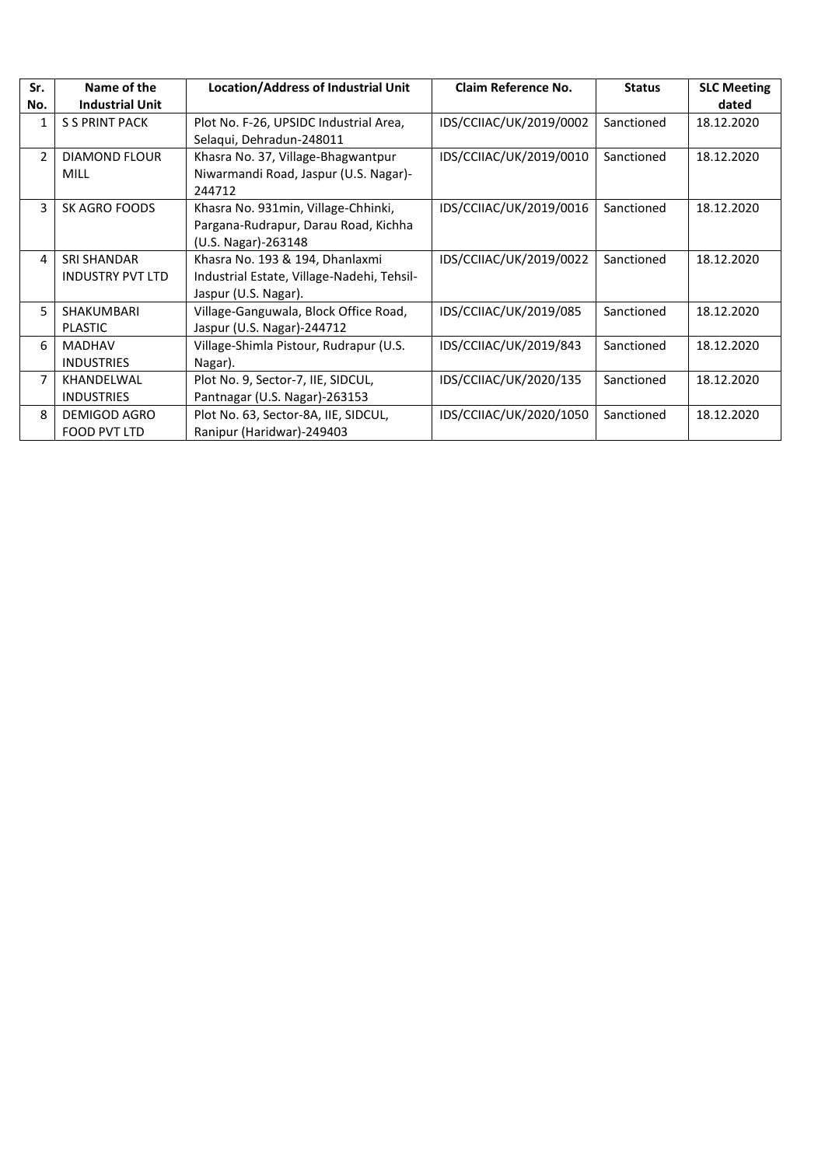| Sr.<br>No.     | Name of the<br><b>Industrial Unit</b>         | <b>Location/Address of Industrial Unit</b>                                                            | Claim Reference No.     | <b>Status</b> | <b>SLC Meeting</b><br>dated |
|----------------|-----------------------------------------------|-------------------------------------------------------------------------------------------------------|-------------------------|---------------|-----------------------------|
| 1              | <b>S S PRINT PACK</b>                         | Plot No. F-26, UPSIDC Industrial Area,<br>Selaqui, Dehradun-248011                                    | IDS/CCIIAC/UK/2019/0002 | Sanctioned    | 18.12.2020                  |
| $\overline{2}$ | <b>DIAMOND FLOUR</b><br><b>MILL</b>           | Khasra No. 37, Village-Bhagwantpur<br>Niwarmandi Road, Jaspur (U.S. Nagar)-<br>244712                 | IDS/CCIIAC/UK/2019/0010 | Sanctioned    | 18.12.2020                  |
| 3              | SK AGRO FOODS                                 | Khasra No. 931min, Village-Chhinki,<br>Pargana-Rudrapur, Darau Road, Kichha<br>(U.S. Nagar)-263148    | IDS/CCIIAC/UK/2019/0016 | Sanctioned    | 18.12.2020                  |
| 4              | <b>SRI SHANDAR</b><br><b>INDUSTRY PVT LTD</b> | Khasra No. 193 & 194, Dhanlaxmi<br>Industrial Estate, Village-Nadehi, Tehsil-<br>Jaspur (U.S. Nagar). | IDS/CCIIAC/UK/2019/0022 | Sanctioned    | 18.12.2020                  |
| 5              | <b>SHAKUMBARI</b><br><b>PLASTIC</b>           | Village-Ganguwala, Block Office Road,<br>Jaspur (U.S. Nagar)-244712                                   | IDS/CCIIAC/UK/2019/085  | Sanctioned    | 18.12.2020                  |
| 6              | <b>MADHAV</b><br><b>INDUSTRIES</b>            | Village-Shimla Pistour, Rudrapur (U.S.<br>Nagar).                                                     | IDS/CCIIAC/UK/2019/843  | Sanctioned    | 18.12.2020                  |
| $\overline{7}$ | KHANDELWAL<br><b>INDUSTRIES</b>               | Plot No. 9, Sector-7, IIE, SIDCUL,<br>Pantnagar (U.S. Nagar)-263153                                   | IDS/CCIIAC/UK/2020/135  | Sanctioned    | 18.12.2020                  |
| 8              | DEMIGOD AGRO<br>FOOD PVT LTD                  | Plot No. 63, Sector-8A, IIE, SIDCUL,<br>Ranipur (Haridwar)-249403                                     | IDS/CCIIAC/UK/2020/1050 | Sanctioned    | 18.12.2020                  |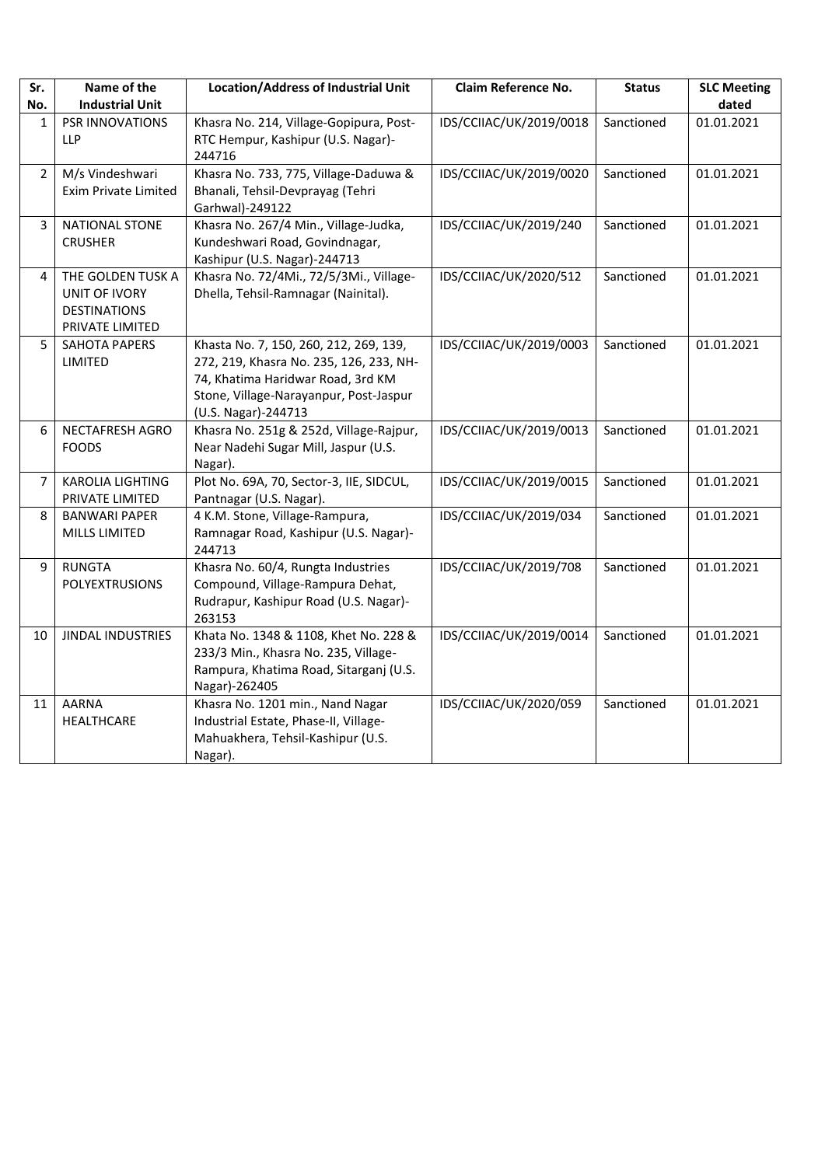| Sr.            | Name of the                                                                  | <b>Location/Address of Industrial Unit</b>                                                                                                                                              | Claim Reference No.     | <b>Status</b> | <b>SLC Meeting</b> |
|----------------|------------------------------------------------------------------------------|-----------------------------------------------------------------------------------------------------------------------------------------------------------------------------------------|-------------------------|---------------|--------------------|
| No.            | <b>Industrial Unit</b>                                                       |                                                                                                                                                                                         |                         |               | dated              |
| 1              | PSR INNOVATIONS<br><b>LLP</b>                                                | Khasra No. 214, Village-Gopipura, Post-<br>RTC Hempur, Kashipur (U.S. Nagar)-<br>244716                                                                                                 | IDS/CCIIAC/UK/2019/0018 | Sanctioned    | 01.01.2021         |
| $\overline{2}$ | M/s Vindeshwari<br><b>Exim Private Limited</b>                               | Khasra No. 733, 775, Village-Daduwa &<br>Bhanali, Tehsil-Devprayag (Tehri<br>Garhwal)-249122                                                                                            | IDS/CCIIAC/UK/2019/0020 | Sanctioned    | 01.01.2021         |
| 3              | <b>NATIONAL STONE</b><br><b>CRUSHER</b>                                      | Khasra No. 267/4 Min., Village-Judka,<br>Kundeshwari Road, Govindnagar,<br>Kashipur (U.S. Nagar)-244713                                                                                 | IDS/CCIIAC/UK/2019/240  | Sanctioned    | 01.01.2021         |
| 4              | THE GOLDEN TUSK A<br>UNIT OF IVORY<br><b>DESTINATIONS</b><br>PRIVATE LIMITED | Khasra No. 72/4Mi., 72/5/3Mi., Village-<br>Dhella, Tehsil-Ramnagar (Nainital).                                                                                                          | IDS/CCIIAC/UK/2020/512  | Sanctioned    | 01.01.2021         |
| 5              | <b>SAHOTA PAPERS</b><br>LIMITED                                              | Khasta No. 7, 150, 260, 212, 269, 139,<br>272, 219, Khasra No. 235, 126, 233, NH-<br>74, Khatima Haridwar Road, 3rd KM<br>Stone, Village-Narayanpur, Post-Jaspur<br>(U.S. Nagar)-244713 | IDS/CCIIAC/UK/2019/0003 | Sanctioned    | 01.01.2021         |
| 6              | NECTAFRESH AGRO<br><b>FOODS</b>                                              | Khasra No. 251g & 252d, Village-Rajpur,<br>Near Nadehi Sugar Mill, Jaspur (U.S.<br>Nagar).                                                                                              | IDS/CCIIAC/UK/2019/0013 | Sanctioned    | 01.01.2021         |
| 7              | <b>KAROLIA LIGHTING</b><br>PRIVATE LIMITED                                   | Plot No. 69A, 70, Sector-3, IIE, SIDCUL,<br>Pantnagar (U.S. Nagar).                                                                                                                     | IDS/CCIIAC/UK/2019/0015 | Sanctioned    | 01.01.2021         |
| 8              | <b>BANWARI PAPER</b><br>MILLS LIMITED                                        | 4 K.M. Stone, Village-Rampura,<br>Ramnagar Road, Kashipur (U.S. Nagar)-<br>244713                                                                                                       | IDS/CCIIAC/UK/2019/034  | Sanctioned    | 01.01.2021         |
| 9              | <b>RUNGTA</b><br><b>POLYEXTRUSIONS</b>                                       | Khasra No. 60/4, Rungta Industries<br>Compound, Village-Rampura Dehat,<br>Rudrapur, Kashipur Road (U.S. Nagar)-<br>263153                                                               | IDS/CCIIAC/UK/2019/708  | Sanctioned    | 01.01.2021         |
| 10             | <b>JINDAL INDUSTRIES</b>                                                     | Khata No. 1348 & 1108, Khet No. 228 &<br>233/3 Min., Khasra No. 235, Village-<br>Rampura, Khatima Road, Sitarganj (U.S.<br>Nagar)-262405                                                | IDS/CCIIAC/UK/2019/0014 | Sanctioned    | 01.01.2021         |
| 11             | <b>AARNA</b><br>HEALTHCARE                                                   | Khasra No. 1201 min., Nand Nagar<br>Industrial Estate, Phase-II, Village-<br>Mahuakhera, Tehsil-Kashipur (U.S.<br>Nagar).                                                               | IDS/CCIIAC/UK/2020/059  | Sanctioned    | 01.01.2021         |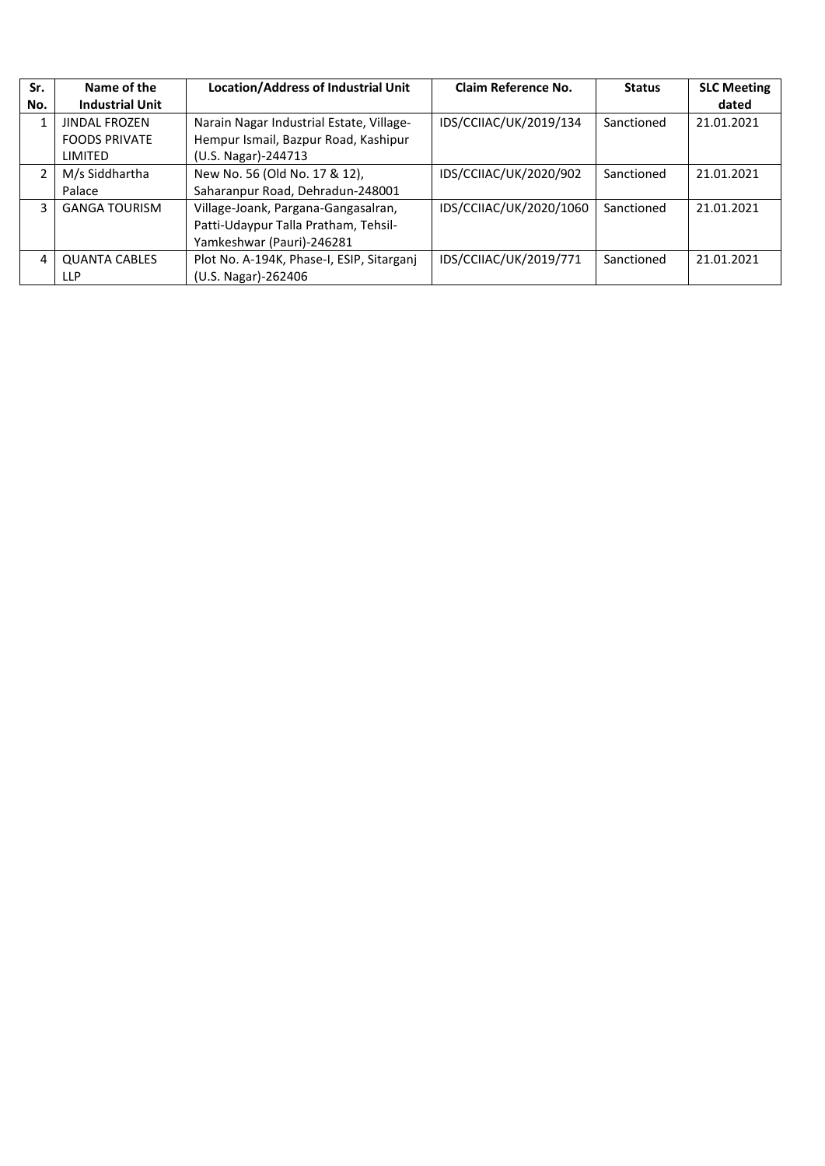| Sr.            | Name of the            | <b>Location/Address of Industrial Unit</b> | Claim Reference No.     | <b>Status</b> | <b>SLC Meeting</b> |
|----------------|------------------------|--------------------------------------------|-------------------------|---------------|--------------------|
| No.            | <b>Industrial Unit</b> |                                            |                         |               | dated              |
|                | <b>JINDAL FROZEN</b>   | Narain Nagar Industrial Estate, Village-   | IDS/CCIIAC/UK/2019/134  | Sanctioned    | 21.01.2021         |
|                | <b>FOODS PRIVATE</b>   | Hempur Ismail, Bazpur Road, Kashipur       |                         |               |                    |
|                | LIMITED                | (U.S. Nagar)-244713                        |                         |               |                    |
| $\overline{2}$ | M/s Siddhartha         | New No. 56 (Old No. 17 & 12),              | IDS/CCIIAC/UK/2020/902  | Sanctioned    | 21.01.2021         |
|                | Palace                 | Saharanpur Road, Dehradun-248001           |                         |               |                    |
| 3              | <b>GANGA TOURISM</b>   | Village-Joank, Pargana-Gangasalran,        | IDS/CCIIAC/UK/2020/1060 | Sanctioned    | 21.01.2021         |
|                |                        | Patti-Udaypur Talla Pratham, Tehsil-       |                         |               |                    |
|                |                        | Yamkeshwar (Pauri)-246281                  |                         |               |                    |
| 4              | <b>QUANTA CABLES</b>   | Plot No. A-194K, Phase-I, ESIP, Sitarganj  | IDS/CCIIAC/UK/2019/771  | Sanctioned    | 21.01.2021         |
|                | LLP                    | (U.S. Nagar)-262406                        |                         |               |                    |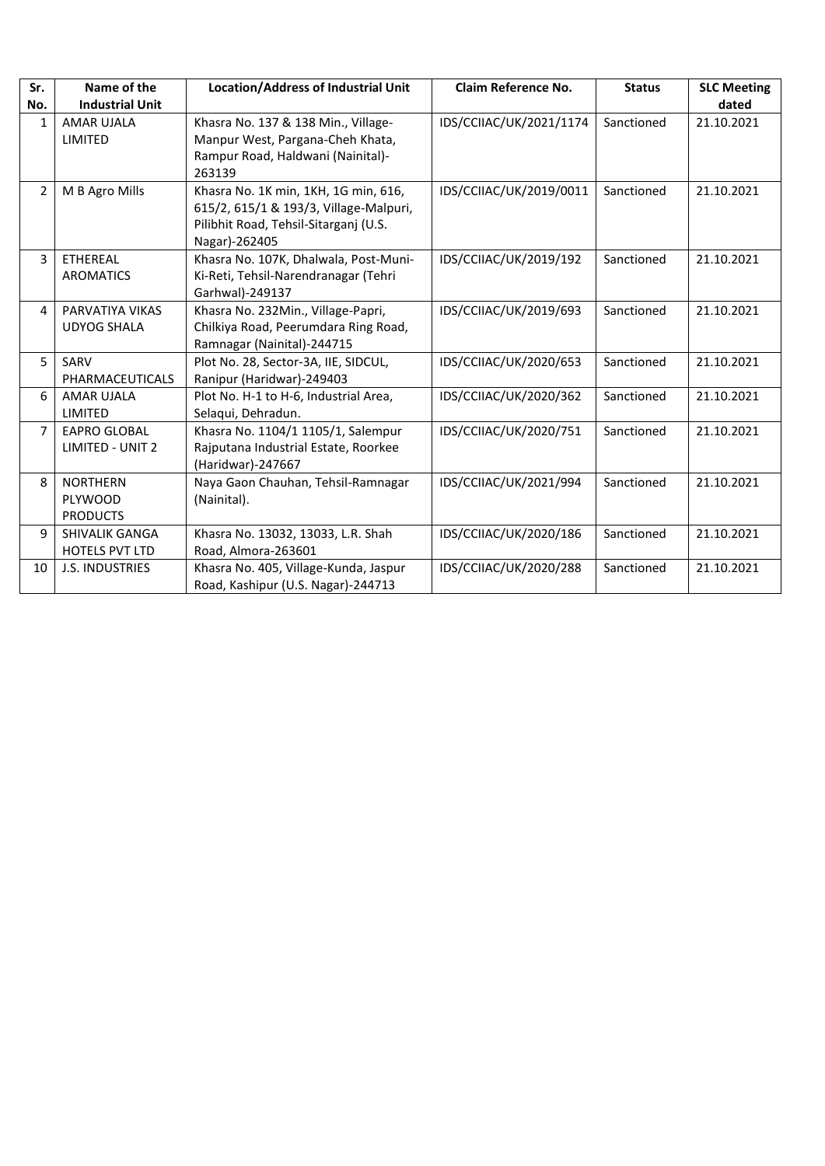| Sr.            | Name of the                                    | <b>Location/Address of Industrial Unit</b>                                                                                               | <b>Claim Reference No.</b> | <b>Status</b> | <b>SLC Meeting</b> |
|----------------|------------------------------------------------|------------------------------------------------------------------------------------------------------------------------------------------|----------------------------|---------------|--------------------|
| No.            | <b>Industrial Unit</b>                         |                                                                                                                                          |                            |               | dated              |
| 1              | <b>AMAR UJALA</b><br>LIMITED                   | Khasra No. 137 & 138 Min., Village-<br>Manpur West, Pargana-Cheh Khata,<br>Rampur Road, Haldwani (Nainital)-<br>263139                   | IDS/CCIIAC/UK/2021/1174    | Sanctioned    | 21.10.2021         |
| $\overline{2}$ | M B Agro Mills                                 | Khasra No. 1K min, 1KH, 1G min, 616,<br>615/2, 615/1 & 193/3, Village-Malpuri,<br>Pilibhit Road, Tehsil-Sitarganj (U.S.<br>Nagar)-262405 | IDS/CCIIAC/UK/2019/0011    | Sanctioned    | 21.10.2021         |
| 3              | ETHEREAL<br><b>AROMATICS</b>                   | Khasra No. 107K, Dhalwala, Post-Muni-<br>Ki-Reti, Tehsil-Narendranagar (Tehri<br>Garhwal)-249137                                         | IDS/CCIIAC/UK/2019/192     | Sanctioned    | 21.10.2021         |
| 4              | PARVATIYA VIKAS<br><b>UDYOG SHALA</b>          | Khasra No. 232Min., Village-Papri,<br>Chilkiya Road, Peerumdara Ring Road,<br>Ramnagar (Nainital)-244715                                 | IDS/CCIIAC/UK/2019/693     | Sanctioned    | 21.10.2021         |
| 5              | SARV<br>PHARMACEUTICALS                        | Plot No. 28, Sector-3A, IIE, SIDCUL,<br>Ranipur (Haridwar)-249403                                                                        | IDS/CCIIAC/UK/2020/653     | Sanctioned    | 21.10.2021         |
| 6              | AMAR UJALA<br>LIMITED                          | Plot No. H-1 to H-6, Industrial Area,<br>Selaqui, Dehradun.                                                                              | IDS/CCIIAC/UK/2020/362     | Sanctioned    | 21.10.2021         |
| $\overline{7}$ | <b>EAPRO GLOBAL</b><br><b>LIMITED - UNIT 2</b> | Khasra No. 1104/1 1105/1, Salempur<br>Rajputana Industrial Estate, Roorkee<br>(Haridwar)-247667                                          | IDS/CCIIAC/UK/2020/751     | Sanctioned    | 21.10.2021         |
| 8              | <b>NORTHERN</b><br>PLYWOOD<br><b>PRODUCTS</b>  | Naya Gaon Chauhan, Tehsil-Ramnagar<br>(Nainital).                                                                                        | IDS/CCIIAC/UK/2021/994     | Sanctioned    | 21.10.2021         |
| 9              | <b>SHIVALIK GANGA</b><br><b>HOTELS PVT LTD</b> | Khasra No. 13032, 13033, L.R. Shah<br>Road, Almora-263601                                                                                | IDS/CCIIAC/UK/2020/186     | Sanctioned    | 21.10.2021         |
| 10             | <b>J.S. INDUSTRIES</b>                         | Khasra No. 405, Village-Kunda, Jaspur<br>Road, Kashipur (U.S. Nagar)-244713                                                              | IDS/CCIIAC/UK/2020/288     | Sanctioned    | 21.10.2021         |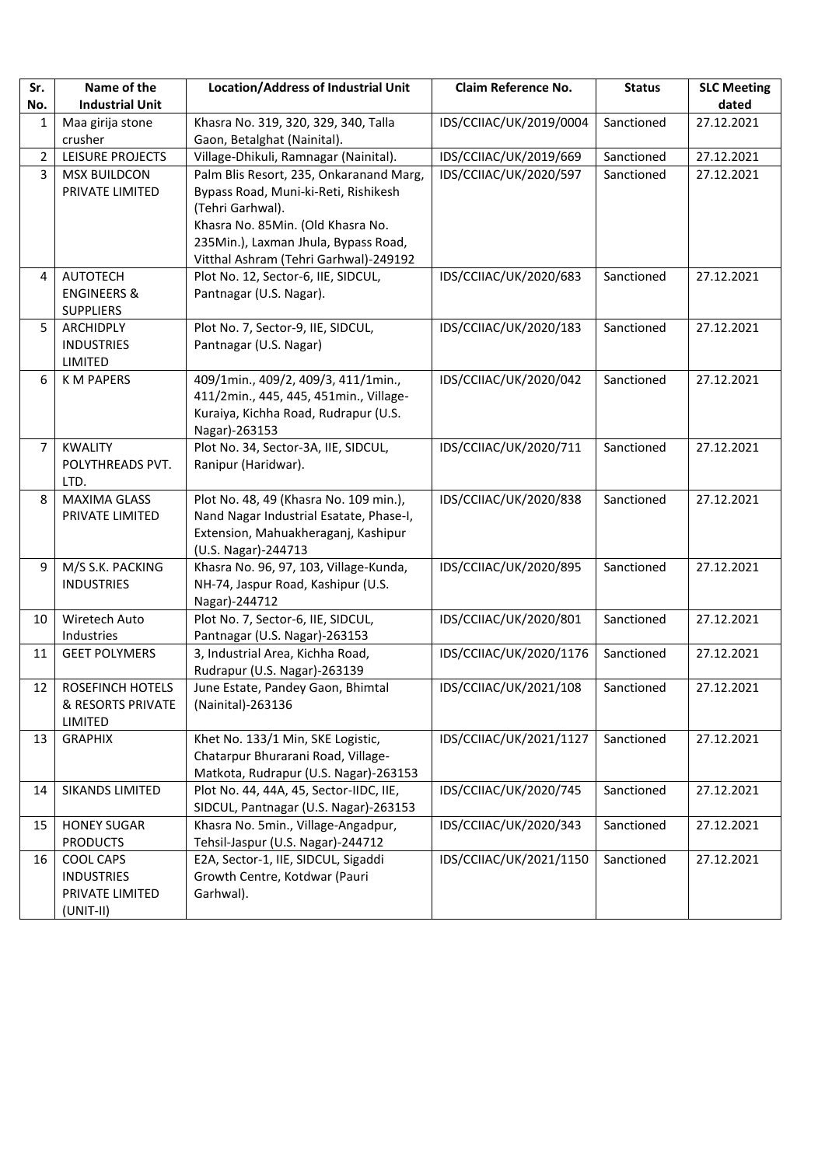| Sr.            | Name of the                                                             | <b>Location/Address of Industrial Unit</b>                                                                                                      | <b>Claim Reference No.</b> | <b>Status</b> | <b>SLC Meeting</b> |
|----------------|-------------------------------------------------------------------------|-------------------------------------------------------------------------------------------------------------------------------------------------|----------------------------|---------------|--------------------|
| No.            | <b>Industrial Unit</b>                                                  |                                                                                                                                                 |                            |               | dated              |
| 1              | Maa girija stone<br>crusher                                             | Khasra No. 319, 320, 329, 340, Talla<br>Gaon, Betalghat (Nainital).                                                                             | IDS/CCIIAC/UK/2019/0004    | Sanctioned    | 27.12.2021         |
| $\overline{2}$ | LEISURE PROJECTS                                                        | Village-Dhikuli, Ramnagar (Nainital).                                                                                                           | IDS/CCIIAC/UK/2019/669     | Sanctioned    | 27.12.2021         |
| 3              | <b>MSX BUILDCON</b><br>PRIVATE LIMITED                                  | Palm Blis Resort, 235, Onkaranand Marg,<br>Bypass Road, Muni-ki-Reti, Rishikesh<br>(Tehri Garhwal).                                             | IDS/CCIIAC/UK/2020/597     | Sanctioned    | 27.12.2021         |
|                |                                                                         | Khasra No. 85Min. (Old Khasra No.<br>235Min.), Laxman Jhula, Bypass Road,<br>Vitthal Ashram (Tehri Garhwal)-249192                              |                            |               |                    |
| 4              | <b>AUTOTECH</b><br><b>ENGINEERS &amp;</b><br><b>SUPPLIERS</b>           | Plot No. 12, Sector-6, IIE, SIDCUL,<br>Pantnagar (U.S. Nagar).                                                                                  | IDS/CCIIAC/UK/2020/683     | Sanctioned    | 27.12.2021         |
| 5              | ARCHIDPLY<br><b>INDUSTRIES</b><br>LIMITED                               | Plot No. 7, Sector-9, IIE, SIDCUL,<br>Pantnagar (U.S. Nagar)                                                                                    | IDS/CCIIAC/UK/2020/183     | Sanctioned    | 27.12.2021         |
| 6              | <b>KM PAPERS</b>                                                        | 409/1min., 409/2, 409/3, 411/1min.,<br>411/2min., 445, 445, 451min., Village-<br>Kuraiya, Kichha Road, Rudrapur (U.S.<br>Nagar)-263153          | IDS/CCIIAC/UK/2020/042     | Sanctioned    | 27.12.2021         |
| 7              | <b>KWALITY</b><br>POLYTHREADS PVT.<br>LTD.                              | Plot No. 34, Sector-3A, IIE, SIDCUL,<br>Ranipur (Haridwar).                                                                                     | IDS/CCIIAC/UK/2020/711     | Sanctioned    | 27.12.2021         |
| 8              | <b>MAXIMA GLASS</b><br>PRIVATE LIMITED                                  | Plot No. 48, 49 (Khasra No. 109 min.),<br>Nand Nagar Industrial Esatate, Phase-I,<br>Extension, Mahuakheraganj, Kashipur<br>(U.S. Nagar)-244713 | IDS/CCIIAC/UK/2020/838     | Sanctioned    | 27.12.2021         |
| 9              | M/S S.K. PACKING<br><b>INDUSTRIES</b>                                   | Khasra No. 96, 97, 103, Village-Kunda,<br>NH-74, Jaspur Road, Kashipur (U.S.<br>Nagar)-244712                                                   | IDS/CCIIAC/UK/2020/895     | Sanctioned    | 27.12.2021         |
| 10             | Wiretech Auto<br>Industries                                             | Plot No. 7, Sector-6, IIE, SIDCUL,<br>Pantnagar (U.S. Nagar)-263153                                                                             | IDS/CCIIAC/UK/2020/801     | Sanctioned    | 27.12.2021         |
| 11             | <b>GEET POLYMERS</b>                                                    | 3, Industrial Area, Kichha Road,<br>Rudrapur (U.S. Nagar)-263139                                                                                | IDS/CCIIAC/UK/2020/1176    | Sanctioned    | 27.12.2021         |
| 12             | <b>ROSEFINCH HOTELS</b><br>& RESORTS PRIVATE<br><b>LIMITED</b>          | June Estate, Pandey Gaon, Bhimtal<br>(Nainital)-263136                                                                                          | IDS/CCIIAC/UK/2021/108     | Sanctioned    | 27.12.2021         |
| 13             | <b>GRAPHIX</b>                                                          | Khet No. 133/1 Min, SKE Logistic,<br>Chatarpur Bhurarani Road, Village-<br>Matkota, Rudrapur (U.S. Nagar)-263153                                | IDS/CCIIAC/UK/2021/1127    | Sanctioned    | 27.12.2021         |
| 14             | SIKANDS LIMITED                                                         | Plot No. 44, 44A, 45, Sector-IIDC, IIE,<br>SIDCUL, Pantnagar (U.S. Nagar)-263153                                                                | IDS/CCIIAC/UK/2020/745     | Sanctioned    | 27.12.2021         |
| 15             | <b>HONEY SUGAR</b><br><b>PRODUCTS</b>                                   | Khasra No. 5min., Village-Angadpur,<br>Tehsil-Jaspur (U.S. Nagar)-244712                                                                        | IDS/CCIIAC/UK/2020/343     | Sanctioned    | 27.12.2021         |
| 16             | <b>COOL CAPS</b><br><b>INDUSTRIES</b><br>PRIVATE LIMITED<br>$(UNIT-II)$ | E2A, Sector-1, IIE, SIDCUL, Sigaddi<br>Growth Centre, Kotdwar (Pauri<br>Garhwal).                                                               | IDS/CCIIAC/UK/2021/1150    | Sanctioned    | 27.12.2021         |